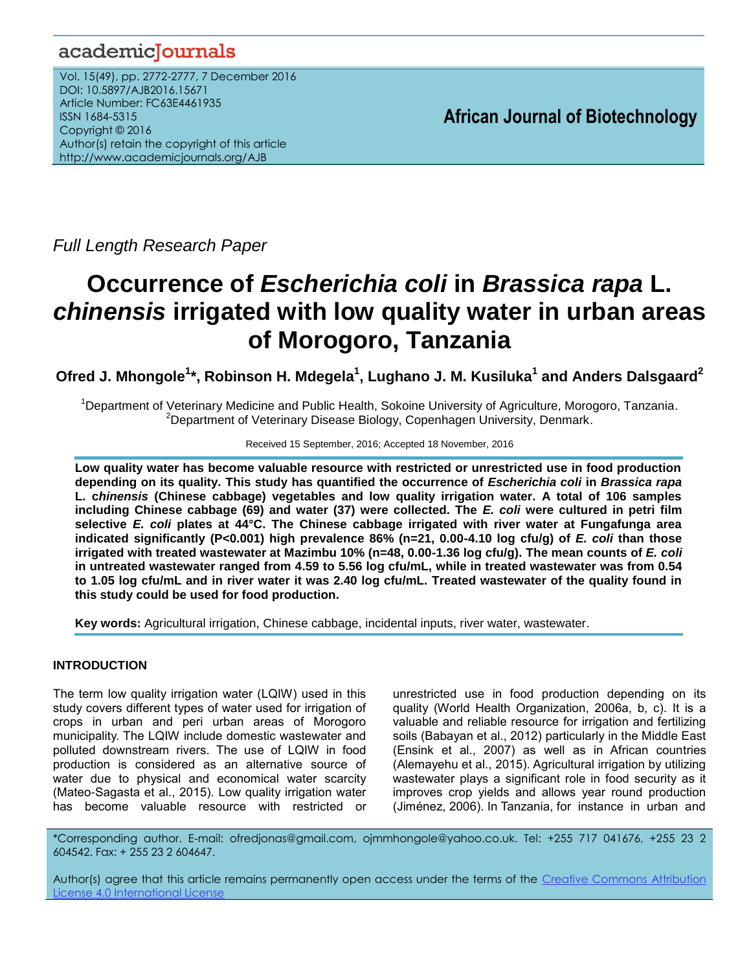## academicJournals

Vol. 15(49), pp. 2772-2777, 7 December 2016 DOI: 10.5897/AJB2016.15671 Article Number: FC63E4461935 ISSN 1684-5315 Copyright © 2016 Author(s) retain the copyright of this article http://www.academicjournals.org/AJB

**African Journal of Biotechnology**

*Full Length Research Paper*

# **Occurrence of** *Escherichia coli* **in** *Brassica rapa* **L.**  *chinensis* **irrigated with low quality water in urban areas of Morogoro, Tanzania**

**Ofred J. Mhongole<sup>1</sup> \*, Robinson H. Mdegela<sup>1</sup> , Lughano J. M. Kusiluka<sup>1</sup> and Anders Dalsgaard<sup>2</sup>**

<sup>1</sup>Department of Veterinary Medicine and Public Health, Sokoine University of Agriculture, Morogoro, Tanzania. <sup>2</sup>Department of Veterinary Disease Biology, Copenhagen University, Denmark.

Received 15 September, 2016; Accepted 18 November, 2016

**Low quality water has become valuable resource with restricted or unrestricted use in food production depending on its quality. This study has quantified the occurrence of** *Escherichia coli* **in** *Brassica rapa* **L. c***hinensis* **(Chinese cabbage) vegetables and low quality irrigation water. A total of 106 samples including Chinese cabbage (69) and water (37) were collected. The** *E. coli* **were cultured in petri film selective** *E. coli* **plates at 44°C. The Chinese cabbage irrigated with river water at Fungafunga area indicated significantly (P<0.001) high prevalence 86% (n=21, 0.00-4.10 log cfu/g) of** *E. coli* **than those irrigated with treated wastewater at Mazimbu 10% (n=48, 0.00-1.36 log cfu/g). The mean counts of** *E. coli* **in untreated wastewater ranged from 4.59 to 5.56 log cfu/mL, while in treated wastewater was from 0.54 to 1.05 log cfu/mL and in river water it was 2.40 log cfu/mL. Treated wastewater of the quality found in this study could be used for food production.** 

**Key words:** Agricultural irrigation, Chinese cabbage, incidental inputs, river water, wastewater.

### **INTRODUCTION**

The term low quality irrigation water (LQIW) used in this study covers different types of water used for irrigation of crops in urban and peri urban areas of Morogoro municipality. The LQIW include domestic wastewater and polluted downstream rivers. The use of LQIW in food production is considered as an alternative source of water due to physical and economical water scarcity (Mateo-Sagasta et al., 2015). Low quality irrigation water has become valuable resource with restricted or

unrestricted use in food production depending on its quality (World Health Organization, 2006a, b, c). It is a valuable and reliable resource for irrigation and fertilizing soils (Babayan et al., 2012) particularly in the Middle East (Ensink et al., 2007) as well as in African countries (Alemayehu et al., 2015). Agricultural irrigation by utilizing wastewater plays a significant role in food security as it improves crop yields and allows year round production (Jiménez, 2006). In Tanzania, for instance in urban and

\*Corresponding author. E-mail: ofredjonas@gmail.com, ojmmhongole@yahoo.co.uk. Tel: +255 717 041676, +255 23 2 604542. Fax: + 255 23 2 604647.

Author(s) agree that this article remains permanently open access under the terms of the Creative Commons Attribution [License 4.0 International License](http://creativecommons.org/licenses/by/4.0/deed.en_US)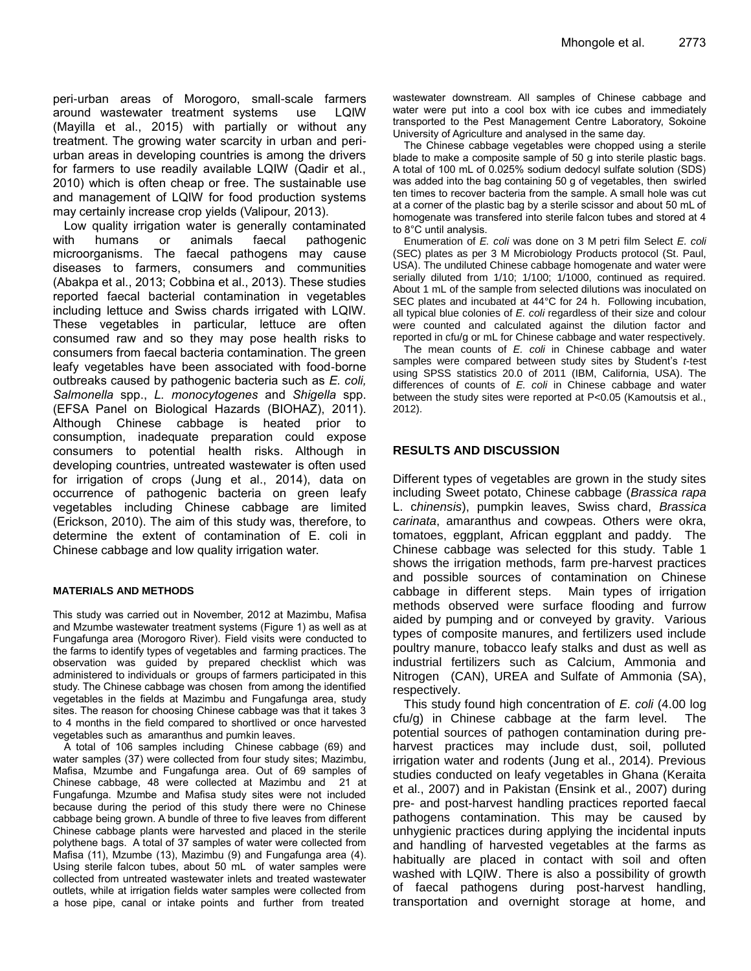peri-urban areas of Morogoro, small-scale farmers around wastewater treatment systems use LQIW (Mayilla et al., 2015) with partially or without any treatment. The growing water scarcity in urban and periurban areas in developing countries is among the drivers for farmers to use readily available LQIW (Qadir et al., 2010) which is often cheap or free. The sustainable use and management of LQIW for food production systems may certainly increase crop yields (Valipour, 2013).

Low quality irrigation water is generally contaminated with humans or animals faecal pathogenic microorganisms. The faecal pathogens may cause diseases to farmers, consumers and communities (Abakpa et al., 2013; Cobbina et al., 2013). These studies reported faecal bacterial contamination in vegetables including lettuce and Swiss chards irrigated with LQIW. These vegetables in particular, lettuce are often consumed raw and so they may pose health risks to consumers from faecal bacteria contamination. The green leafy vegetables have been associated with food-borne outbreaks caused by pathogenic bacteria such as *E. coli, Salmonella* spp., *L. monocytogenes* and *Shigella* spp. (EFSA Panel on Biological Hazards (BIOHAZ), 2011). Although Chinese cabbage is heated prior to consumption, inadequate preparation could expose consumers to potential health risks. Although in developing countries, untreated wastewater is often used for irrigation of crops (Jung et al., 2014), data on occurrence of pathogenic bacteria on green leafy vegetables including Chinese cabbage are limited (Erickson, 2010). The aim of this study was, therefore, to determine the extent of contamination of E. coli in Chinese cabbage and low quality irrigation water.

#### **MATERIALS AND METHODS**

This study was carried out in November, 2012 at Mazimbu, Mafisa and Mzumbe wastewater treatment systems (Figure 1) as well as at Fungafunga area (Morogoro River). Field visits were conducted to the farms to identify types of vegetables and farming practices. The observation was guided by prepared checklist which was administered to individuals or groups of farmers participated in this study. The Chinese cabbage was chosen from among the identified vegetables in the fields at Mazimbu and Fungafunga area, study sites. The reason for choosing Chinese cabbage was that it takes 3 to 4 months in the field compared to shortlived or once harvested vegetables such as amaranthus and pumkin leaves.

A total of 106 samples including Chinese cabbage (69) and water samples (37) were collected from four study sites; Mazimbu, Mafisa, Mzumbe and Fungafunga area. Out of 69 samples of Chinese cabbage, 48 were collected at Mazimbu and 21 at Fungafunga. Mzumbe and Mafisa study sites were not included because during the period of this study there were no Chinese cabbage being grown. A bundle of three to five leaves from different Chinese cabbage plants were harvested and placed in the sterile polythene bags. A total of 37 samples of water were collected from Mafisa (11), Mzumbe (13), Mazimbu (9) and Fungafunga area (4). Using sterile falcon tubes, about 50 mL of water samples were collected from untreated wastewater inlets and treated wastewater outlets, while at irrigation fields water samples were collected from a hose pipe, canal or intake points and further from treated

wastewater downstream. All samples of Chinese cabbage and water were put into a cool box with ice cubes and immediately transported to the Pest Management Centre Laboratory, Sokoine University of Agriculture and analysed in the same day.

The Chinese cabbage vegetables were chopped using a sterile blade to make a composite sample of 50 g into sterile plastic bags. A total of 100 mL of 0.025% sodium dedocyl sulfate solution (SDS) was added into the bag containing 50 g of vegetables, then swirled ten times to recover bacteria from the sample. A small hole was cut at a corner of the plastic bag by a sterile scissor and about 50 mL of homogenate was transfered into sterile falcon tubes and stored at 4 to 8°C until analysis.

Enumeration of *E. coli* was done on 3 M petri film Select *E. coli* (SEC) plates as per 3 M Microbiology Products protocol (St. Paul, USA). The undiluted Chinese cabbage homogenate and water were serially diluted from 1/10; 1/100; 1/1000, continued as required. About 1 mL of the sample from selected dilutions was inoculated on SEC plates and incubated at 44°C for 24 h. Following incubation, all typical blue colonies of *E. coli* regardless of their size and colour were counted and calculated against the dilution factor and reported in cfu/g or mL for Chinese cabbage and water respectively.

The mean counts of *E. coli* in Chinese cabbage and water samples were compared between study sites by Student's *t*-test using SPSS statistics 20.0 of 2011 (IBM, California, USA). The differences of counts of *E. coli* in Chinese cabbage and water between the study sites were reported at P<0.05 (Kamoutsis et al., 2012).

#### **RESULTS AND DISCUSSION**

Different types of vegetables are grown in the study sites including Sweet potato, Chinese cabbage (*Brassica rapa* L. c*hinensis*), pumpkin leaves, Swiss chard, *Brassica carinata*, amaranthus and cowpeas. Others were okra, tomatoes, eggplant, African eggplant and paddy. The Chinese cabbage was selected for this study. Table 1 shows the irrigation methods, farm pre-harvest practices and possible sources of contamination on Chinese cabbage in different steps. Main types of irrigation methods observed were surface flooding and furrow aided by pumping and or conveyed by gravity. Various types of composite manures, and fertilizers used include poultry manure, tobacco leafy stalks and dust as well as industrial fertilizers such as Calcium, Ammonia and Nitrogen (CAN), UREA and Sulfate of Ammonia (SA), respectively.

This study found high concentration of *E. coli* (4.00 log cfu/g) in Chinese cabbage at the farm level. The potential sources of pathogen contamination during preharvest practices may include dust, soil, polluted irrigation water and rodents (Jung et al., 2014). Previous studies conducted on leafy vegetables in Ghana (Keraita et al., 2007) and in Pakistan (Ensink et al., 2007) during pre- and post-harvest handling practices reported faecal pathogens contamination. This may be caused by unhygienic practices during applying the incidental inputs and handling of harvested vegetables at the farms as habitually are placed in contact with soil and often washed with LQIW. There is also a possibility of growth of faecal pathogens during post-harvest handling, transportation and overnight storage at home, and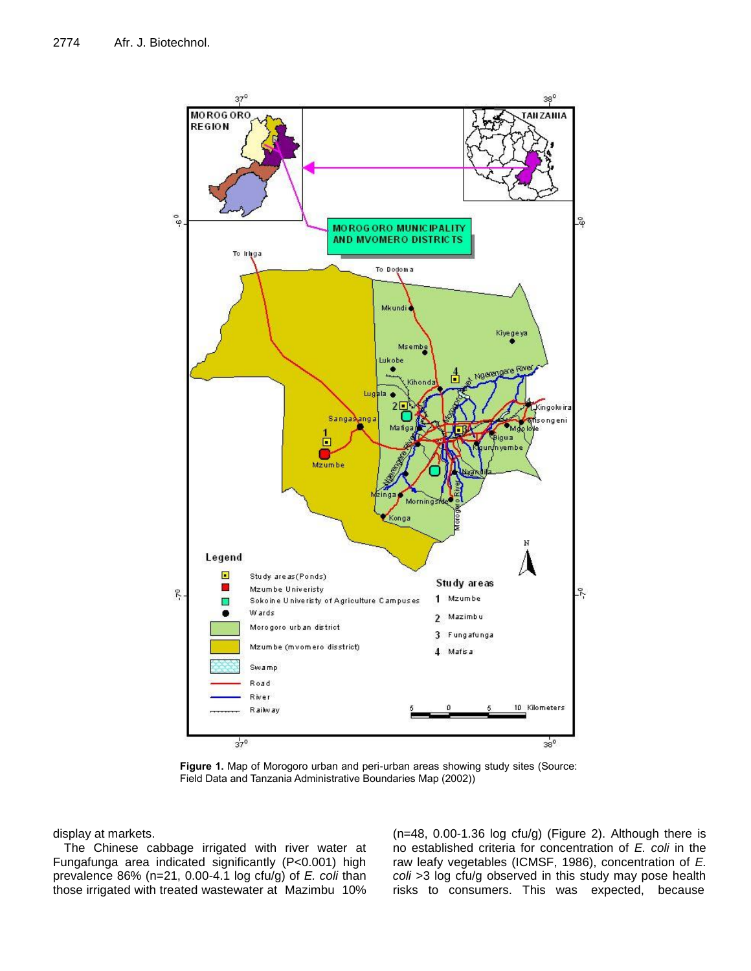

**Figure 1.** Map of Morogoro urban and peri-urban areas showing study sites (Source: Field Data and Tanzania Administrative Boundaries Map (2002))

display at markets.

The Chinese cabbage irrigated with river water at Fungafunga area indicated significantly (P<0.001) high prevalence 86% (n=21, 0.00-4.1 log cfu/g) of *E. coli* than those irrigated with treated wastewater at Mazimbu 10%

 $(n=48, 0.00-1.36 \log ctu/g)$  (Figure 2). Although there is no established criteria for concentration of *E. coli* in the raw leafy vegetables (ICMSF, 1986), concentration of *E. coli* >3 log cfu/g observed in this study may pose health risks to consumers. This was expected, because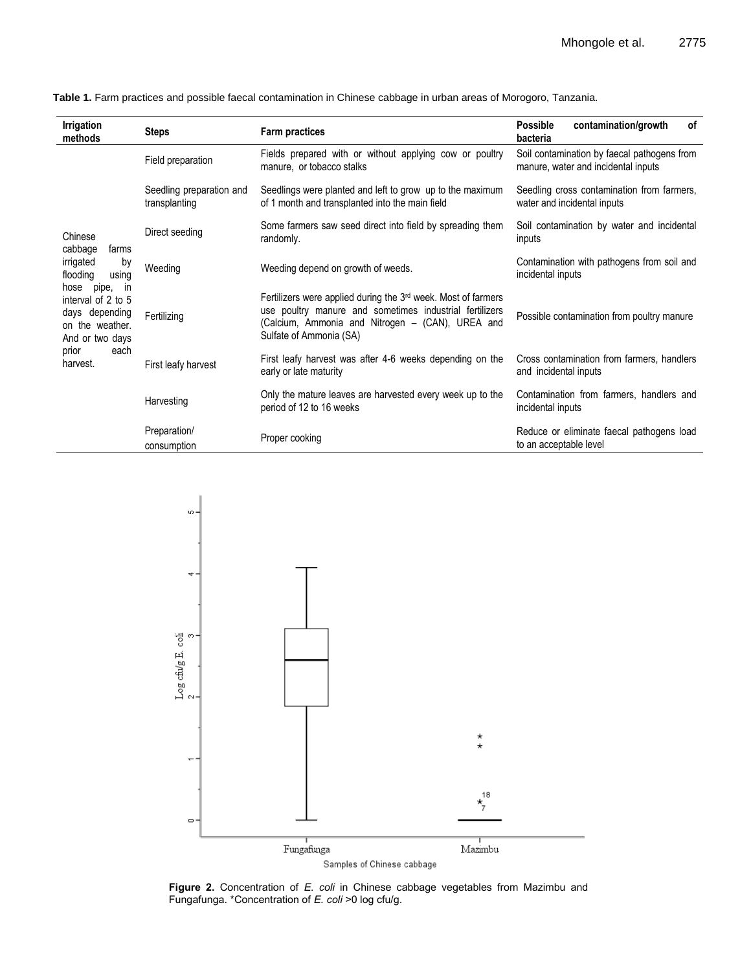| Irrigation<br>methods                                                                                                                                                                                   | <b>Steps</b>                              | <b>Farm practices</b>                                                                                                                                                                                               | contamination/growth<br>0f<br><b>Possible</b><br>bacteria                          |
|---------------------------------------------------------------------------------------------------------------------------------------------------------------------------------------------------------|-------------------------------------------|---------------------------------------------------------------------------------------------------------------------------------------------------------------------------------------------------------------------|------------------------------------------------------------------------------------|
| Chinese<br>cabbage<br>farms<br>irrigated<br>by<br>using<br>flooding<br>pipe,<br>hose<br>- in<br>interval of 2 to 5<br>days depending<br>on the weather.<br>And or two days<br>prior<br>each<br>harvest. | Field preparation                         | Fields prepared with or without applying cow or poultry<br>manure, or tobacco stalks                                                                                                                                | Soil contamination by faecal pathogens from<br>manure, water and incidental inputs |
|                                                                                                                                                                                                         | Seedling preparation and<br>transplanting | Seedlings were planted and left to grow up to the maximum<br>of 1 month and transplanted into the main field                                                                                                        | Seedling cross contamination from farmers,<br>water and incidental inputs          |
|                                                                                                                                                                                                         | Direct seeding                            | Some farmers saw seed direct into field by spreading them<br>randomly.                                                                                                                                              | Soil contamination by water and incidental<br>inputs                               |
|                                                                                                                                                                                                         | Weeding                                   | Weeding depend on growth of weeds.                                                                                                                                                                                  | Contamination with pathogens from soil and<br>incidental inputs                    |
|                                                                                                                                                                                                         | Fertilizing                               | Fertilizers were applied during the 3 <sup>rd</sup> week. Most of farmers<br>use poultry manure and sometimes industrial fertilizers<br>(Calcium, Ammonia and Nitrogen - (CAN), UREA and<br>Sulfate of Ammonia (SA) | Possible contamination from poultry manure                                         |
|                                                                                                                                                                                                         | First leafy harvest                       | First leafy harvest was after 4-6 weeks depending on the<br>early or late maturity                                                                                                                                  | Cross contamination from farmers, handlers<br>and incidental inputs                |
|                                                                                                                                                                                                         | Harvesting                                | Only the mature leaves are harvested every week up to the<br>period of 12 to 16 weeks                                                                                                                               | Contamination from farmers, handlers and<br>incidental inputs                      |
|                                                                                                                                                                                                         | Preparation/<br>consumption               | Proper cooking                                                                                                                                                                                                      | Reduce or eliminate faecal pathogens load<br>to an acceptable level                |

**Table 1.** Farm practices and possible faecal contamination in Chinese cabbage in urban areas of Morogoro, Tanzania.



**Figure 2.** Concentration of *E. coli* in Chinese cabbage vegetables from Mazimbu and Fungafunga. \*Concentration of *E. coli* >0 log cfu/g.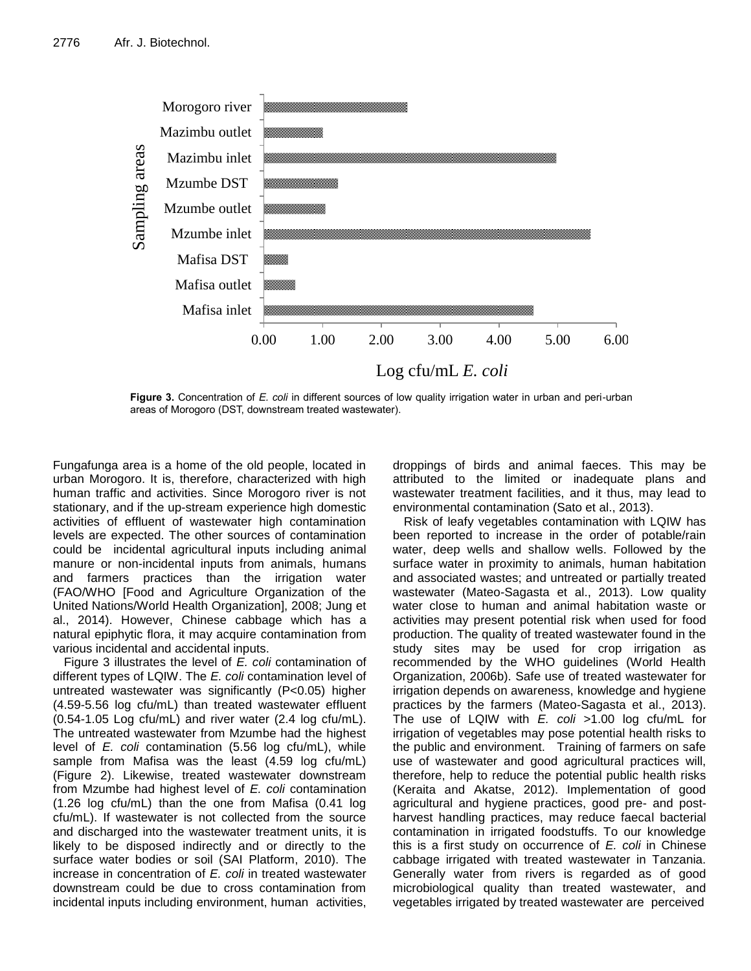

**Figure 3.** Concentration of *E. coli* in different sources of low quality irrigation water in urban and peri-urban areas of Morogoro (DST, downstream treated wastewater).

Fungafunga area is a home of the old people, located in urban Morogoro. It is, therefore, characterized with high human traffic and activities. Since Morogoro river is not stationary, and if the up-stream experience high domestic activities of effluent of wastewater high contamination levels are expected. The other sources of contamination could be incidental agricultural inputs including animal manure or non-incidental inputs from animals, humans and farmers practices than the irrigation water (FAO/WHO [Food and Agriculture Organization of the United Nations/World Health Organization], 2008; Jung et al., 2014). However, Chinese cabbage which has a natural epiphytic flora, it may acquire contamination from various incidental and accidental inputs.

Figure 3 illustrates the level of *E. coli* contamination of different types of LQIW. The *E. coli* contamination level of untreated wastewater was significantly (P<0.05) higher (4.59-5.56 log cfu/mL) than treated wastewater effluent (0.54-1.05 Log cfu/mL) and river water (2.4 log cfu/mL). The untreated wastewater from Mzumbe had the highest level of *E. coli* contamination (5.56 log cfu/mL), while sample from Mafisa was the least (4.59 log cfu/mL) (Figure 2). Likewise, treated wastewater downstream from Mzumbe had highest level of *E. coli* contamination (1.26 log cfu/mL) than the one from Mafisa (0.41 log cfu/mL). If wastewater is not collected from the source and discharged into the wastewater treatment units, it is likely to be disposed indirectly and or directly to the surface water bodies or soil (SAI Platform, 2010). The increase in concentration of *E. coli* in treated wastewater downstream could be due to cross contamination from incidental inputs including environment, human activities,

droppings of birds and animal faeces. This may be attributed to the limited or inadequate plans and wastewater treatment facilities, and it thus, may lead to environmental contamination (Sato et al., 2013).

Risk of leafy vegetables contamination with LQIW has been reported to increase in the order of potable/rain water, deep wells and shallow wells. Followed by the surface water in proximity to animals, human habitation and associated wastes; and untreated or partially treated wastewater (Mateo-Sagasta et al., 2013). Low quality water close to human and animal habitation waste or activities may present potential risk when used for food production. The quality of treated wastewater found in the study sites may be used for crop irrigation as recommended by the WHO guidelines (World Health Organization, 2006b). Safe use of treated wastewater for irrigation depends on awareness, knowledge and hygiene practices by the farmers (Mateo-Sagasta et al., 2013). The use of LQIW with *E. coli* >1.00 log cfu/mL for irrigation of vegetables may pose potential health risks to the public and environment. Training of farmers on safe use of wastewater and good agricultural practices will, therefore, help to reduce the potential public health risks (Keraita and Akatse, 2012). Implementation of good agricultural and hygiene practices, good pre- and postharvest handling practices, may reduce faecal bacterial contamination in irrigated foodstuffs. To our knowledge this is a first study on occurrence of *E. coli* in Chinese cabbage irrigated with treated wastewater in Tanzania. Generally water from rivers is regarded as of good microbiological quality than treated wastewater, and vegetables irrigated by treated wastewater are perceived